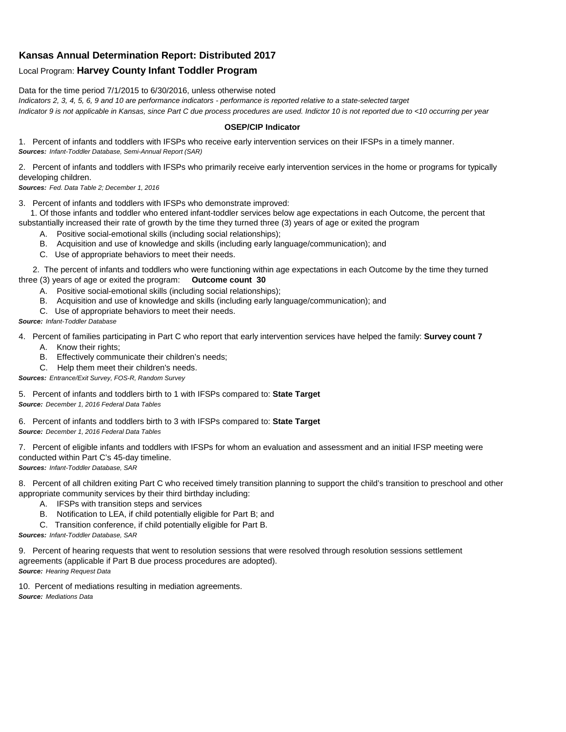## **Kansas Annual Determination Report: Distributed 2017**

## Local Program: **Harvey County Infant Toddler Program**

Data for the time period 7/1/2015 to 6/30/2016, unless otherwise noted

*Indicators 2, 3, 4, 5, 6, 9 and 10 are performance indicators - performance is reported relative to a state-selected target Indicator 9 is not applicable in Kansas, since Part C due process procedures are used. Indictor 10 is not reported due to <10 occurring per year*

## **OSEP/CIP Indicator**

1. Percent of infants and toddlers with IFSPs who receive early intervention services on their IFSPs in a timely manner. *Sources: Infant-Toddler Database, Semi-Annual Report (SAR)* 

2. Percent of infants and toddlers with IFSPs who primarily receive early intervention services in the home or programs for typically developing children.

*Sources: Fed. Data Table 2; December 1, 2016*

3. Percent of infants and toddlers with IFSPs who demonstrate improved:

 1. Of those infants and toddler who entered infant-toddler services below age expectations in each Outcome, the percent that substantially increased their rate of growth by the time they turned three (3) years of age or exited the program

- A. Positive social-emotional skills (including social relationships);
- B. Acquisition and use of knowledge and skills (including early language/communication); and
- C. Use of appropriate behaviors to meet their needs.

 2. The percent of infants and toddlers who were functioning within age expectations in each Outcome by the time they turned three (3) years of age or exited the program: **Outcome count 30**

- A. Positive social-emotional skills (including social relationships);
- B. Acquisition and use of knowledge and skills (including early language/communication); and
- C. Use of appropriate behaviors to meet their needs.

## *Source: Infant-Toddler Database*

4. Percent of families participating in Part C who report that early intervention services have helped the family: **Survey count 7**

- A. Know their rights;
- B. Effectively communicate their children's needs;
- C. Help them meet their children's needs.
- *Sources: Entrance/Exit Survey, FOS-R, Random Survey*

5. Percent of infants and toddlers birth to 1 with IFSPs compared to: **State Target** *Source: December 1, 2016 Federal Data Tables*

6. Percent of infants and toddlers birth to 3 with IFSPs compared to: **State Target** *Source: December 1, 2016 Federal Data Tables*

7. Percent of eligible infants and toddlers with IFSPs for whom an evaluation and assessment and an initial IFSP meeting were conducted within Part C's 45-day timeline.

*Sources: Infant-Toddler Database, SAR*

8. Percent of all children exiting Part C who received timely transition planning to support the child's transition to preschool and other appropriate community services by their third birthday including:

- A. IFSPs with transition steps and services
- B. Notification to LEA, if child potentially eligible for Part B; and
- C. Transition conference, if child potentially eligible for Part B.

*Sources: Infant-Toddler Database, SAR*

9. Percent of hearing requests that went to resolution sessions that were resolved through resolution sessions settlement agreements (applicable if Part B due process procedures are adopted). *Source: Hearing Request Data*

10. Percent of mediations resulting in mediation agreements. *Source: Mediations Data*